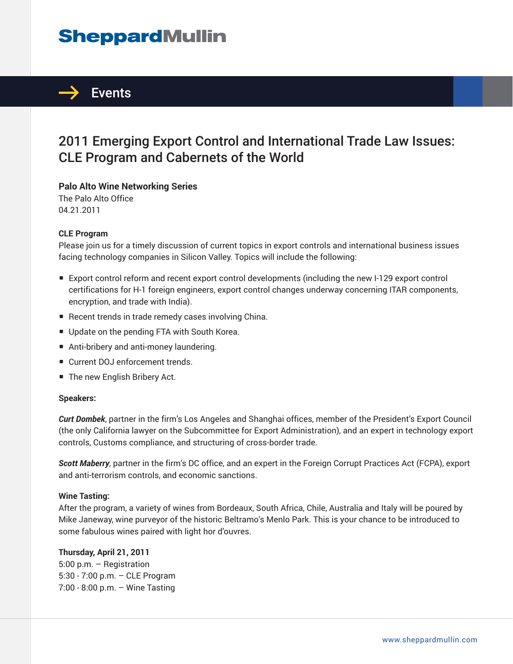# **SheppardMullin**



### 2011 Emerging Export Control and International Trade Law Issues: CLE Program and Cabernets of the World

**Palo Alto Wine Networking Series**

The Palo Alto Office 04.21.2011

#### **CLE Program**

Please join us for a timely discussion of current topics in export controls and international business issues facing technology companies in Silicon Valley. Topics will include the following:

- Export control reform and recent export control developments (including the new I-129 export control certifications for H-1 foreign engineers, export control changes underway concerning ITAR components, encryption, and trade with India).
- Recent trends in trade remedy cases involving China.
- Update on the pending FTA with South Korea.
- Anti-bribery and anti-money laundering.
- Current DOJ enforcement trends.
- The new English Bribery Act.

#### **Speakers:**

*Curt Dombek*, partner in the firm's Los Angeles and Shanghai offices, member of the President's Export Council (the only California lawyer on the Subcommittee for Export Administration), and an expert in technology export controls, Customs compliance, and structuring of cross-border trade.

*Scott Maberry*, partner in the firm's DC office, and an expert in the Foreign Corrupt Practices Act (FCPA), export and anti-terrorism controls, and economic sanctions.

#### **Wine Tasting:**

After the program, a variety of wines from Bordeaux, South Africa, Chile, Australia and Italy will be poured by Mike Janeway, wine purveyor of the historic Beltramo's Menlo Park. This is your chance to be introduced to some fabulous wines paired with light hor d'ouvres.

#### **Thursday, April 21, 2011**

5:00 p.m. – Registration 5:30 - 7:00 p.m. – CLE Program 7:00 - 8:00 p.m. – Wine Tasting